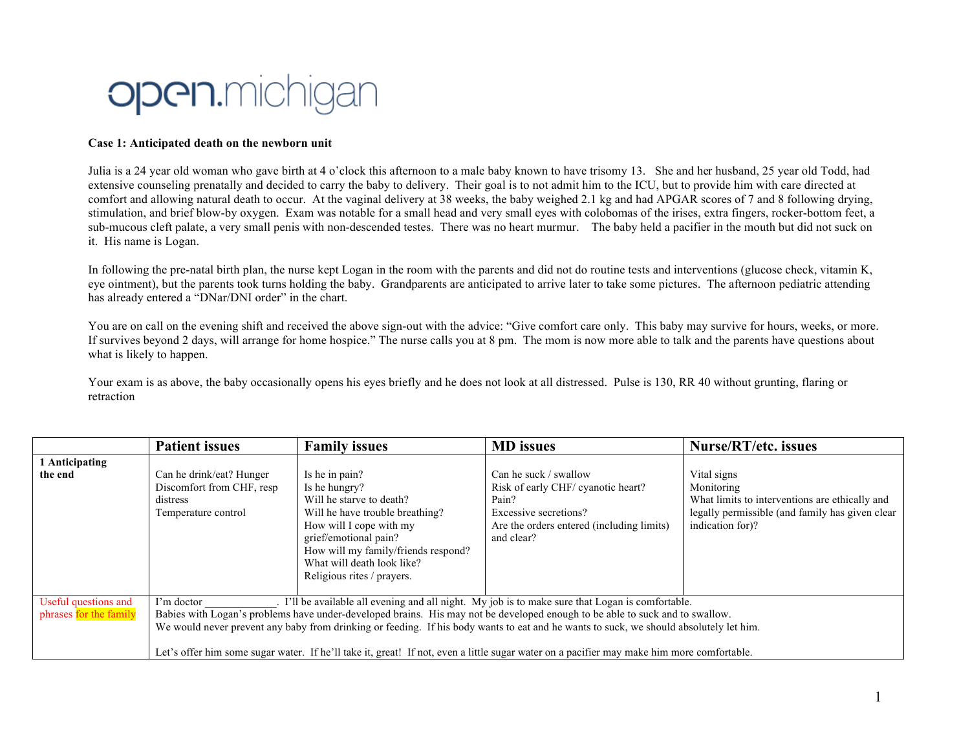## **Open.**michigan

## **Case 1: Anticipated death on the newborn unit**

Julia is a 24 year old woman who gave birth at 4 o'clock this afternoon to a male baby known to have trisomy 13. She and her husband, 25 year old Todd, had extensive counseling prenatally and decided to carry the baby to delivery. Their goal is to not admit him to the ICU, but to provide him with care directed at comfort and allowing natural death to occur. At the vaginal delivery at 38 weeks, the baby weighed 2.1 kg and had APGAR scores of 7 and 8 following drying, stimulation, and brief blow-by oxygen. Exam was notable for a small head and very small eyes with colobomas of the irises, extra fingers, rocker-bottom feet, a sub-mucous cleft palate, a very small penis with non-descended testes. There was no heart murmur. The baby held a pacifier in the mouth but did not suck on it. His name is Logan.

In following the pre-natal birth plan, the nurse kept Logan in the room with the parents and did not do routine tests and interventions (glucose check, vitamin K, eye ointment), but the parents took turns holding the baby. Grandparents are anticipated to arrive later to take some pictures. The afternoon pediatric attending has already entered a "DNar/DNI order" in the chart.

You are on call on the evening shift and received the above sign-out with the advice: "Give comfort care only. This baby may survive for hours, weeks, or more. If survives beyond 2 days, will arrange for home hospice." The nurse calls you at 8 pm. The mom is now more able to talk and the parents have questions about what is likely to happen.

Your exam is as above, the baby occasionally opens his eyes briefly and he does not look at all distressed. Pulse is 130, RR 40 without grunting, flaring or retraction

|                                                | <b>Patient issues</b>                                                                                                                                                                                                                                                                                                                                                                                                                                                                                                                 | <b>Family issues</b>                                                                                                                                                                                                                                  | <b>MD</b> issues                                                                                                                                         | <b>Nurse/RT/etc. issues</b>                                                                                                                        |
|------------------------------------------------|---------------------------------------------------------------------------------------------------------------------------------------------------------------------------------------------------------------------------------------------------------------------------------------------------------------------------------------------------------------------------------------------------------------------------------------------------------------------------------------------------------------------------------------|-------------------------------------------------------------------------------------------------------------------------------------------------------------------------------------------------------------------------------------------------------|----------------------------------------------------------------------------------------------------------------------------------------------------------|----------------------------------------------------------------------------------------------------------------------------------------------------|
| 1 Anticipating<br>the end                      | Can he drink/eat? Hunger<br>Discomfort from CHF, resp<br>distress<br>Temperature control                                                                                                                                                                                                                                                                                                                                                                                                                                              | Is he in pain?<br>Is he hungry?<br>Will he starve to death?<br>Will he have trouble breathing?<br>How will I cope with my<br>grief/emotional pain?<br>How will my family/friends respond?<br>What will death look like?<br>Religious rites / prayers. | Can he suck / swallow<br>Risk of early CHF/ cyanotic heart?<br>Pain?<br>Excessive secretions?<br>Are the orders entered (including limits)<br>and clear? | Vital signs<br>Monitoring<br>What limits to interventions are ethically and<br>legally permissible (and family has given clear<br>indication for)? |
| Useful questions and<br>phrases for the family | . I'll be available all evening and all night. My job is to make sure that Logan is comfortable.<br>I'm doctor<br>Babies with Logan's problems have under-developed brains. His may not be developed enough to be able to suck and to swallow.<br>We would never prevent any baby from drinking or feeding. If his body wants to eat and he wants to suck, we should absolutely let him.<br>Let's offer him some sugar water. If he'll take it, great! If not, even a little sugar water on a pacifier may make him more comfortable. |                                                                                                                                                                                                                                                       |                                                                                                                                                          |                                                                                                                                                    |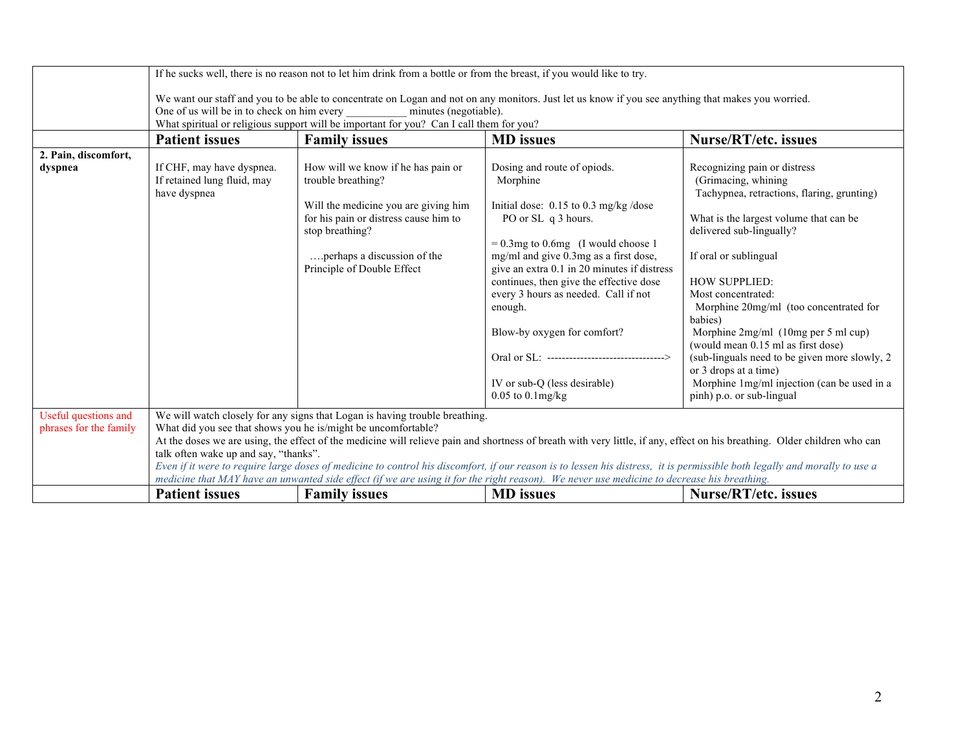|                                                | If he sucks well, there is no reason not to let him drink from a bottle or from the breast, if you would like to try.                                                                                                                                                                                                                                                                                                                                                                                                                                                                                                                                                                          |                                                                                                                                                                                                                           |                                                                                                                                                                                                                                                                                                                                                                                                                              |                                                                                                                                                                                                                                                                                                                                                                                                                                                              |
|------------------------------------------------|------------------------------------------------------------------------------------------------------------------------------------------------------------------------------------------------------------------------------------------------------------------------------------------------------------------------------------------------------------------------------------------------------------------------------------------------------------------------------------------------------------------------------------------------------------------------------------------------------------------------------------------------------------------------------------------------|---------------------------------------------------------------------------------------------------------------------------------------------------------------------------------------------------------------------------|------------------------------------------------------------------------------------------------------------------------------------------------------------------------------------------------------------------------------------------------------------------------------------------------------------------------------------------------------------------------------------------------------------------------------|--------------------------------------------------------------------------------------------------------------------------------------------------------------------------------------------------------------------------------------------------------------------------------------------------------------------------------------------------------------------------------------------------------------------------------------------------------------|
|                                                | We want our staff and you to be able to concentrate on Logan and not on any monitors. Just let us know if you see anything that makes you worried.<br>One of us will be in to check on him every<br>minutes (negotiable).<br>What spiritual or religious support will be important for you? Can I call them for you?                                                                                                                                                                                                                                                                                                                                                                           |                                                                                                                                                                                                                           |                                                                                                                                                                                                                                                                                                                                                                                                                              |                                                                                                                                                                                                                                                                                                                                                                                                                                                              |
|                                                | <b>Patient issues</b>                                                                                                                                                                                                                                                                                                                                                                                                                                                                                                                                                                                                                                                                          | <b>Family issues</b>                                                                                                                                                                                                      | <b>MD</b> issues                                                                                                                                                                                                                                                                                                                                                                                                             | <b>Nurse/RT/etc. issues</b>                                                                                                                                                                                                                                                                                                                                                                                                                                  |
| 2. Pain, discomfort,<br>dyspnea                | If CHF, may have dyspnea.<br>If retained lung fluid, may<br>have dyspnea                                                                                                                                                                                                                                                                                                                                                                                                                                                                                                                                                                                                                       | How will we know if he has pain or<br>trouble breathing?<br>Will the medicine you are giving him<br>for his pain or distress cause him to<br>stop breathing?<br>perhaps a discussion of the<br>Principle of Double Effect | Dosing and route of opiods.<br>Morphine<br>Initial dose: $0.15$ to $0.3$ mg/kg/dose<br>PO or SL q 3 hours.<br>$= 0.3$ mg to 0.6 mg (I would choose 1<br>mg/ml and give 0.3mg as a first dose,<br>give an extra 0.1 in 20 minutes if distress<br>continues, then give the effective dose<br>every 3 hours as needed. Call if not<br>enough.<br>Blow-by oxygen for comfort?<br>Oral or SL: ----------------------------------> | Recognizing pain or distress<br>(Grimacing, whining)<br>Tachypnea, retractions, flaring, grunting)<br>What is the largest volume that can be<br>delivered sub-lingually?<br>If oral or sublingual<br><b>HOW SUPPLIED:</b><br>Most concentrated:<br>Morphine 20mg/ml (too concentrated for<br>babies)<br>Morphine 2mg/ml (10mg per 5 ml cup)<br>(would mean 0.15 ml as first dose)<br>(sub-linguals need to be given more slowly, 2)<br>or 3 drops at a time) |
|                                                |                                                                                                                                                                                                                                                                                                                                                                                                                                                                                                                                                                                                                                                                                                |                                                                                                                                                                                                                           | IV or sub-Q (less desirable)<br>$0.05$ to $0.1$ mg/kg                                                                                                                                                                                                                                                                                                                                                                        | Morphine 1mg/ml injection (can be used in a<br>pinh) p.o. or sub-lingual                                                                                                                                                                                                                                                                                                                                                                                     |
| Useful questions and<br>phrases for the family | We will watch closely for any signs that Logan is having trouble breathing.<br>What did you see that shows you he is/might be uncomfortable?<br>At the doses we are using, the effect of the medicine will relieve pain and shortness of breath with very little, if any, effect on his breathing. Older children who can<br>talk often wake up and say, "thanks".<br>Even if it were to require large doses of medicine to control his discomfort, if our reason is to lessen his distress, it is permissible both legally and morally to use a<br>medicine that MAY have an unwanted side effect (if we are using it for the right reason). We never use medicine to decrease his breathing. |                                                                                                                                                                                                                           |                                                                                                                                                                                                                                                                                                                                                                                                                              |                                                                                                                                                                                                                                                                                                                                                                                                                                                              |
|                                                | <b>Patient issues</b>                                                                                                                                                                                                                                                                                                                                                                                                                                                                                                                                                                                                                                                                          | <b>Family issues</b>                                                                                                                                                                                                      | <b>MD</b> issues                                                                                                                                                                                                                                                                                                                                                                                                             | <b>Nurse/RT/etc. issues</b>                                                                                                                                                                                                                                                                                                                                                                                                                                  |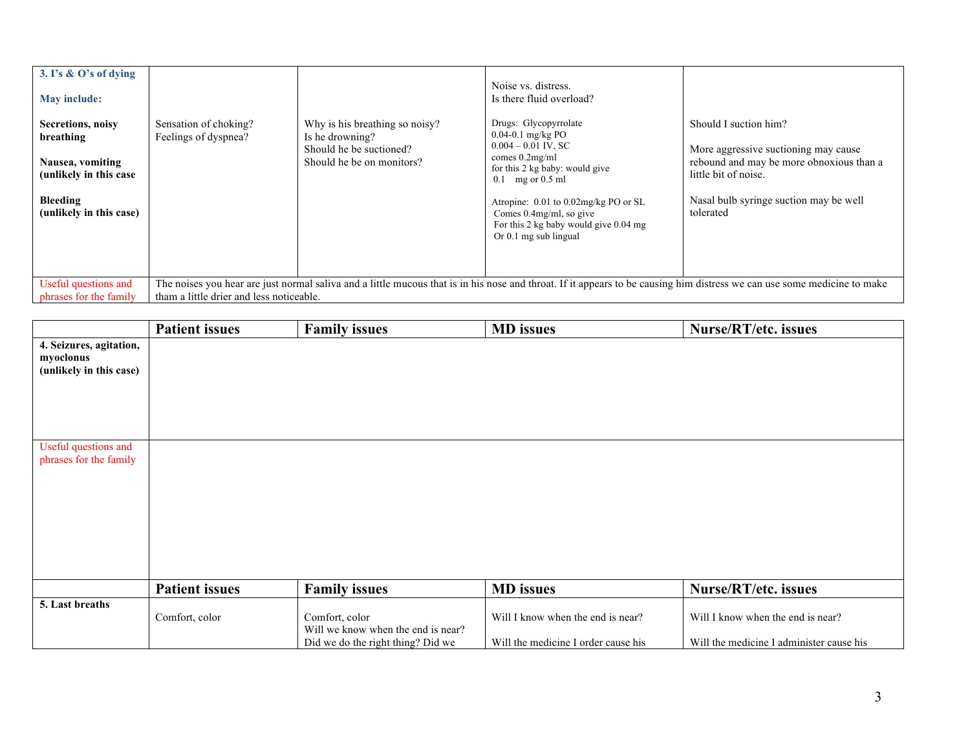| 3. I's & O's of dying<br>May include:<br><b>Secretions, noisy</b> | Sensation of choking?                                                                                                                                                                                                | Why is his breathing so noisy?                                          | Noise vs. distress.<br>Is there fluid overload?<br>Drugs: Glycopyrrolate                                                                         | Should I suction him?                                                                                    |
|-------------------------------------------------------------------|----------------------------------------------------------------------------------------------------------------------------------------------------------------------------------------------------------------------|-------------------------------------------------------------------------|--------------------------------------------------------------------------------------------------------------------------------------------------|----------------------------------------------------------------------------------------------------------|
| breathing<br>Nausea, vomiting<br>(unlikely in this case)          | Feelings of dyspnea?                                                                                                                                                                                                 | Is he drowning?<br>Should he be suctioned?<br>Should he be on monitors? | $0.04 - 0.1$ mg/kg PO<br>$0.004 - 0.01$ IV, SC<br>comes $0.2mg/ml$<br>for this 2 kg baby: would give<br>$0.1$ mg or $0.5$ ml                     | More aggressive suctioning may cause<br>rebound and may be more obnoxious than a<br>little bit of noise. |
| Bleeding<br>(unlikely in this case)                               |                                                                                                                                                                                                                      |                                                                         | Atropine: 0.01 to 0.02mg/kg PO or SL<br>Comes $0.4$ mg/ml, so give<br>For this 2 kg baby would give $0.04 \text{ mg}$<br>Or $0.1$ mg sub lingual | Nasal bulb syringe suction may be well<br>tolerated                                                      |
| Useful questions and<br>phrases for the family                    | The noises you hear are just normal saliva and a little mucous that is in his nose and throat. If it appears to be causing him distress we can use some medicine to make<br>tham a little drier and less noticeable. |                                                                         |                                                                                                                                                  |                                                                                                          |

|                                                                 | <b>Patient issues</b> | <b>Family issues</b>                                 | <b>MD</b> issues                    | Nurse/RT/etc. issues                     |
|-----------------------------------------------------------------|-----------------------|------------------------------------------------------|-------------------------------------|------------------------------------------|
| 4. Seizures, agitation,<br>myoclonus<br>(unlikely in this case) |                       |                                                      |                                     |                                          |
| Useful questions and<br>phrases for the family                  |                       |                                                      |                                     |                                          |
|                                                                 |                       |                                                      |                                     |                                          |
|                                                                 | <b>Patient issues</b> | <b>Family issues</b>                                 | <b>MD</b> issues                    | Nurse/RT/etc. issues                     |
| 5. Last breaths                                                 | Comfort, color        | Comfort, color<br>Will we know when the end is near? | Will I know when the end is near?   | Will I know when the end is near?        |
|                                                                 |                       | Did we do the right thing? Did we                    | Will the medicine I order cause his | Will the medicine I administer cause his |